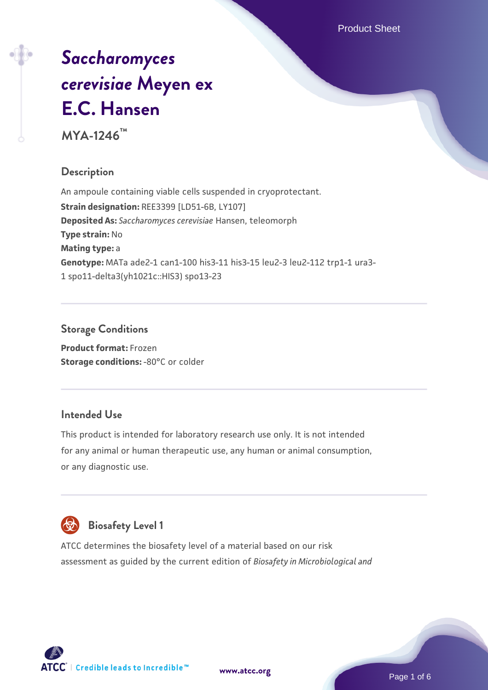# *[Saccharomyces](https://www.atcc.org/products/mya-1246) [cerevisiae](https://www.atcc.org/products/mya-1246)* **[Meyen ex](https://www.atcc.org/products/mya-1246) [E.C. Hansen](https://www.atcc.org/products/mya-1246)**

**MYA-1246™**

# **Description**

An ampoule containing viable cells suspended in cryoprotectant. **Strain designation:** REE3399 [LD51-6B, LY107] **Deposited As:** *Saccharomyces cerevisiae* Hansen, teleomorph **Type strain:** No **Mating type:** a **Genotype:** MATa ade2-1 can1-100 his3-11 his3-15 leu2-3 leu2-112 trp1-1 ura3- 1 spo11-delta3(yh1021c::HIS3) spo13-23

# **Storage Conditions**

**Product format:** Frozen **Storage conditions: -80°C or colder** 

# **Intended Use**

This product is intended for laboratory research use only. It is not intended for any animal or human therapeutic use, any human or animal consumption, or any diagnostic use.



# **Biosafety Level 1**

ATCC determines the biosafety level of a material based on our risk assessment as guided by the current edition of *Biosafety in Microbiological and*

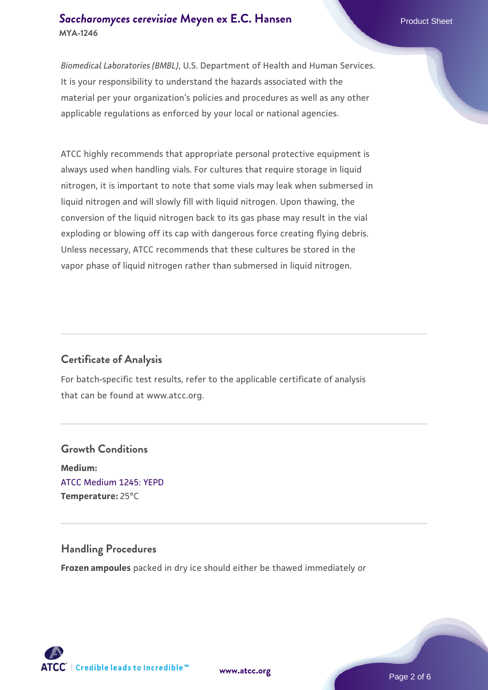## **[Saccharomyces cerevisiae](https://www.atcc.org/products/mya-1246)** [Meyen ex E.C. Hansen](https://www.atcc.org/products/mya-1246) **MYA-1246**

*Biomedical Laboratories (BMBL)*, U.S. Department of Health and Human Services. It is your responsibility to understand the hazards associated with the material per your organization's policies and procedures as well as any other applicable regulations as enforced by your local or national agencies.

ATCC highly recommends that appropriate personal protective equipment is always used when handling vials. For cultures that require storage in liquid nitrogen, it is important to note that some vials may leak when submersed in liquid nitrogen and will slowly fill with liquid nitrogen. Upon thawing, the conversion of the liquid nitrogen back to its gas phase may result in the vial exploding or blowing off its cap with dangerous force creating flying debris. Unless necessary, ATCC recommends that these cultures be stored in the vapor phase of liquid nitrogen rather than submersed in liquid nitrogen.

# **Certificate of Analysis**

For batch-specific test results, refer to the applicable certificate of analysis that can be found at www.atcc.org.

# **Growth Conditions Medium:**  [ATCC Medium 1245: YEPD](https://www.atcc.org/-/media/product-assets/documents/microbial-media-formulations/1/2/4/5/atcc-medium-1245.pdf?rev=705ca55d1b6f490a808a965d5c072196) **Temperature:** 25°C

# **Handling Procedures**

**Frozen ampoules** packed in dry ice should either be thawed immediately or



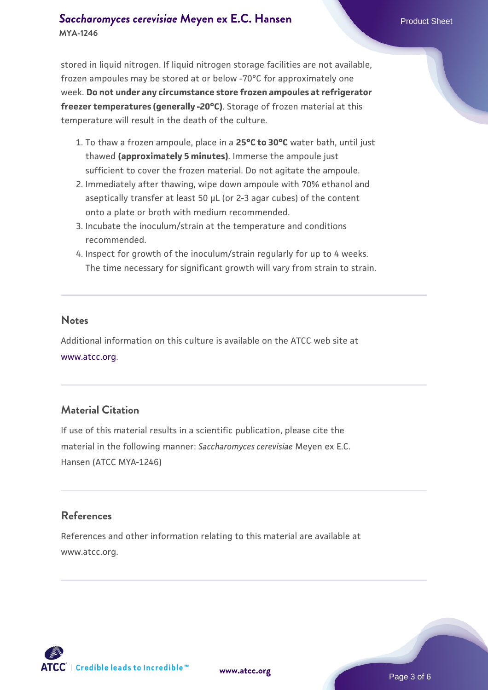# **[Saccharomyces cerevisiae](https://www.atcc.org/products/mya-1246)** [Meyen ex E.C. Hansen](https://www.atcc.org/products/mya-1246) **MYA-1246**

stored in liquid nitrogen. If liquid nitrogen storage facilities are not available, frozen ampoules may be stored at or below -70°C for approximately one week. **Do not under any circumstance store frozen ampoules at refrigerator freezer temperatures (generally -20°C)**. Storage of frozen material at this temperature will result in the death of the culture.

- 1. To thaw a frozen ampoule, place in a **25°C to 30°C** water bath, until just thawed **(approximately 5 minutes)**. Immerse the ampoule just sufficient to cover the frozen material. Do not agitate the ampoule.
- 2. Immediately after thawing, wipe down ampoule with 70% ethanol and aseptically transfer at least 50 µL (or 2-3 agar cubes) of the content onto a plate or broth with medium recommended.
- 3. Incubate the inoculum/strain at the temperature and conditions recommended.
- 4. Inspect for growth of the inoculum/strain regularly for up to 4 weeks. The time necessary for significant growth will vary from strain to strain.

#### **Notes**

Additional information on this culture is available on the ATCC web site at [www.atcc.org.](http://www.atcc.org/)

# **Material Citation**

If use of this material results in a scientific publication, please cite the material in the following manner: *Saccharomyces cerevisiae* Meyen ex E.C. Hansen (ATCC MYA-1246)

# **References**

References and other information relating to this material are available at www.atcc.org.

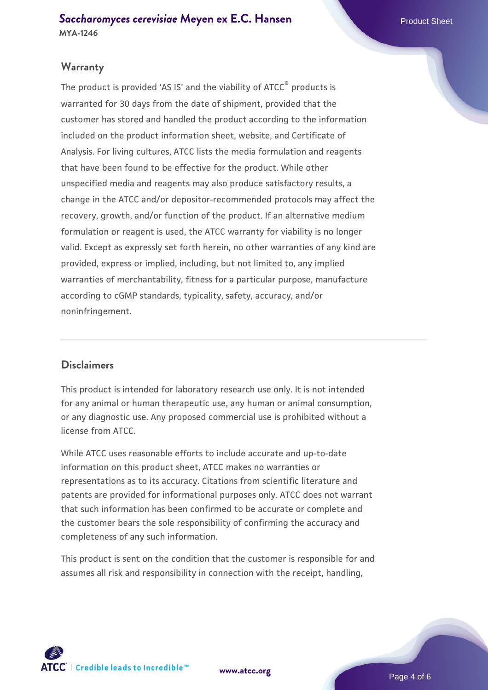# **Warranty**

The product is provided 'AS IS' and the viability of ATCC® products is warranted for 30 days from the date of shipment, provided that the customer has stored and handled the product according to the information included on the product information sheet, website, and Certificate of Analysis. For living cultures, ATCC lists the media formulation and reagents that have been found to be effective for the product. While other unspecified media and reagents may also produce satisfactory results, a change in the ATCC and/or depositor-recommended protocols may affect the recovery, growth, and/or function of the product. If an alternative medium formulation or reagent is used, the ATCC warranty for viability is no longer valid. Except as expressly set forth herein, no other warranties of any kind are provided, express or implied, including, but not limited to, any implied warranties of merchantability, fitness for a particular purpose, manufacture according to cGMP standards, typicality, safety, accuracy, and/or noninfringement.

#### **Disclaimers**

This product is intended for laboratory research use only. It is not intended for any animal or human therapeutic use, any human or animal consumption, or any diagnostic use. Any proposed commercial use is prohibited without a license from ATCC.

While ATCC uses reasonable efforts to include accurate and up-to-date information on this product sheet, ATCC makes no warranties or representations as to its accuracy. Citations from scientific literature and patents are provided for informational purposes only. ATCC does not warrant that such information has been confirmed to be accurate or complete and the customer bears the sole responsibility of confirming the accuracy and completeness of any such information.

This product is sent on the condition that the customer is responsible for and assumes all risk and responsibility in connection with the receipt, handling,



**[www.atcc.org](http://www.atcc.org)**

Page 4 of 6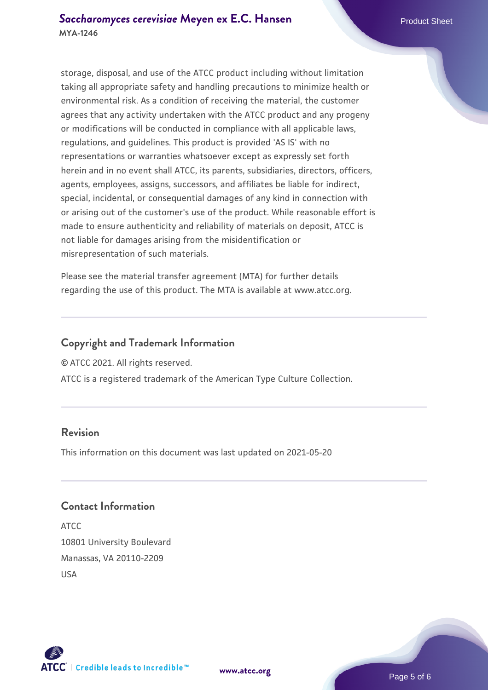storage, disposal, and use of the ATCC product including without limitation taking all appropriate safety and handling precautions to minimize health or environmental risk. As a condition of receiving the material, the customer agrees that any activity undertaken with the ATCC product and any progeny or modifications will be conducted in compliance with all applicable laws, regulations, and guidelines. This product is provided 'AS IS' with no representations or warranties whatsoever except as expressly set forth herein and in no event shall ATCC, its parents, subsidiaries, directors, officers, agents, employees, assigns, successors, and affiliates be liable for indirect, special, incidental, or consequential damages of any kind in connection with or arising out of the customer's use of the product. While reasonable effort is made to ensure authenticity and reliability of materials on deposit, ATCC is not liable for damages arising from the misidentification or misrepresentation of such materials.

Please see the material transfer agreement (MTA) for further details regarding the use of this product. The MTA is available at www.atcc.org.

## **Copyright and Trademark Information**

© ATCC 2021. All rights reserved.

ATCC is a registered trademark of the American Type Culture Collection.

# **Revision**

This information on this document was last updated on 2021-05-20

### **Contact Information**

ATCC 10801 University Boulevard Manassas, VA 20110-2209 USA